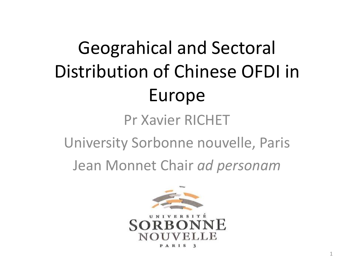# Geograhical and Sectoral Distribution of Chinese OFDI in Europe

### Pr Xavier RICHET

University Sorbonne nouvelle, Paris

Jean Monnet Chair *ad personam*

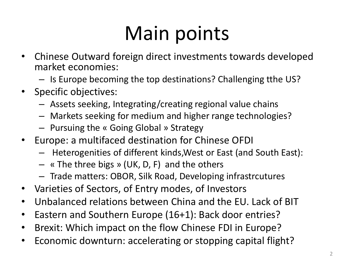# Main points

- Chinese Outward foreign direct investments towards developed market economies:
	- Is Europe becoming the top destinations? Challenging tthe US?
- Specific objectives:
	- Assets seeking, Integrating/creating regional value chains
	- Markets seeking for medium and higher range technologies?
	- Pursuing the « Going Global » Strategy
- Europe: a multifaced destination for Chinese OFDI
	- Heterogenities of different kinds,West or East (and South East):
	- « The three bigs » (UK, D, F) and the others
	- Trade matters: OBOR, Silk Road, Developing infrastrcutures
- Varieties of Sectors, of Entry modes, of Investors
- Unbalanced relations between China and the EU. Lack of BIT
- Eastern and Southern Europe (16+1): Back door entries?
- Brexit: Which impact on the flow Chinese FDI in Europe?
- Economic downturn: accelerating or stopping capital flight?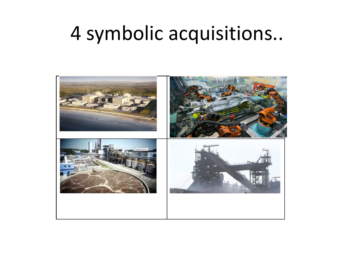## 4 symbolic acquisitions..

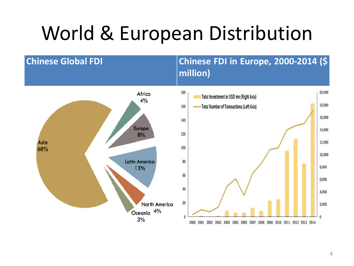## World & European Distribution

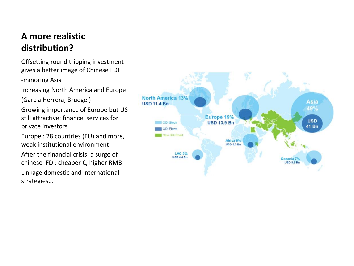#### **A more realistic distribution?**

Offsetting round tripping investment gives a better image of Chinese FDI

-minoring Asia

Increasing North America and Europe

(Garcia Herrera, Bruegel)

Growing importance of Europe but US still attractive: finance, services for private investors

Europe : 28 countries (EU) and more, weak institutional environment

After the financial crisis: a surge of chinese FDI: cheaper €, higher RMB Linkage domestic and international strategies…

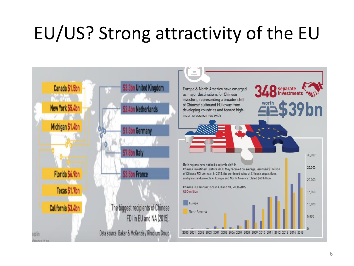## EU/US? Strong attractivity of the EU

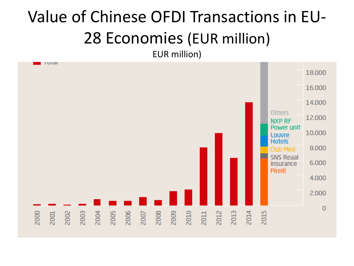## Value of Chinese OFDI Transactions in EU-28 Economies (EUR million)

EUR million)

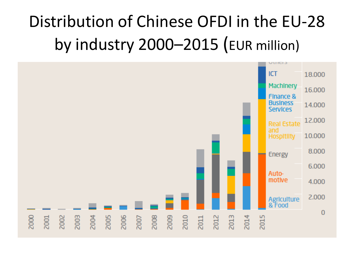### Distribution of Chinese OFDI in the EU-28 by industry 2000–2015 (EUR million)

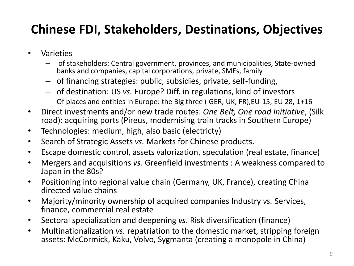### **Chinese FDI, Stakeholders, Destinations, Objectives**

- Varieties
	- of stakeholders: Central government, provinces, and municipalities, State-owned banks and companies, capital corporations, private, SMEs, family
	- of financing strategies: public, subsidies, private, self-funding,
	- of destination: US *vs.* Europe? Diff. in regulations, kind of investors
	- Of places and entities in Europe: the Big three ( GER, UK, FR),EU-15, EU 28, 1+16
- Direct investments and/or new trade routes: *One Belt, One road Initiative*, (Silk road): acquiring ports (Pireus, modernising train tracks in Southern Europe)
- Technologies: medium, high, also basic (electricty)
- Search of Strategic Assets *vs.* Markets for Chinese products.
- Escape domestic control, assets valorization, speculation (real estate, finance)
- Mergers and acquisitions *vs.* Greenfield investments : A weakness compared to Japan in the 80s?
- Positioning into regional value chain (Germany, UK, France), creating China directed value chains
- Majority/minority ownership of acquired companies Industry *vs.* Services, finance, commercial real estate
- Sectoral specialization and deepening *vs*. Risk diversification (finance)
- Multinationalization *vs.* repatriation to the domestic market, stripping foreign assets: McCormick, Kaku, Volvo, Sygmanta (creating a monopole in China)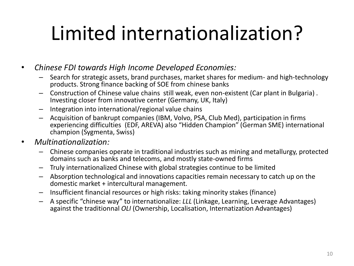# Limited internationalization?

• *Chinese FDI towards High Income Developed Economies:* 

- Search for strategic assets, brand purchases, market shares for medium- and high-technology products. Strong finance backing of SOE from chinese banks
- Construction of Chinese value chains still weak, even non-existent (Car plant in Bulgaria) . Investing closer from innovative center (Germany, UK, Italy)
- Integration into international/regional value chains
- Acquisition of bankrupt companies (IBM, Volvo, PSA, Club Med), participation in firms experiencing difficulties (EDF, AREVA) also "Hidden Champion" (German SME) international champion (Sygmenta, Swiss)

#### • *Multinationalization:*

- Chinese companies operate in traditional industries such as mining and metallurgy, protected domains such as banks and telecoms, and mostly state-owned firms
- Truly internationalized Chinese with global strategies continue to be limited
- Absorption technological and innovations capacities remain necessary to catch up on the domestic market + intercultural management.
- Insufficient financial resources or high risks: taking minority stakes (finance)
- A specific "chinese way" to internationalize: *LLL* (Linkage, Learning, Leverage Advantages) against the traditionnal *OLI* (Ownership, Localisation, Internatization Advantages)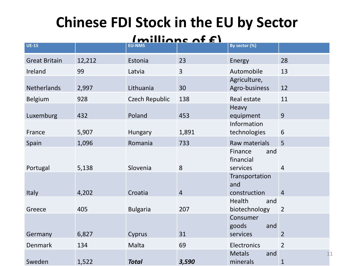### **Chinese FDI Stock in the EU by Sector**

#### $Imilliance of **f**$

| <b>UE-15</b>         |        | <b>EU-NMS</b>   |                | By sector (%)                           |                    |
|----------------------|--------|-----------------|----------------|-----------------------------------------|--------------------|
| <b>Great Britain</b> | 12,212 | Estonia         | 23             | Energy                                  | 28                 |
| Ireland              | 99     | Latvia          | $\overline{3}$ | Automobile                              | 13                 |
| Netherlands          | 2,997  | Lithuania       | 30             | Agriculture,<br>Agro-business           | 12                 |
| <b>Belgium</b>       | 928    | Czech Republic  | 138            | Real estate                             | 11                 |
| Luxemburg            | 432    | Poland          | 453            | Heavy<br>equipment                      | 9                  |
| France               | 5,907  | Hungary         | 1,891          | Information<br>technologies             | 6                  |
| Spain                | 1,096  | Romania         | 733            | Raw materials                           | 5                  |
| Portugal             | 5,138  | Slovenia        | 8              | Finance<br>and<br>financial<br>services | $\overline{4}$     |
|                      |        |                 |                | Transportation<br>and                   |                    |
| Italy                | 4,202  | Croatia         | $\overline{4}$ | construction                            | $\overline{4}$     |
| Greece               | 405    | <b>Bulgaria</b> | 207            | Health<br>and<br>biotechnology          | $\overline{2}$     |
|                      |        |                 |                | Consumer<br>goods<br>and                |                    |
| Germany              | 6,827  | Cyprus          | 31             | services                                | $\overline{2}$     |
| Denmark              | 134    | Malta           | 69             | Electronics                             | $\overline{2}$     |
| Sweden               | 1,522  | <b>Total</b>    | 3,590          | <b>Metals</b><br>and<br>minerals        | 11<br>$\mathbf{1}$ |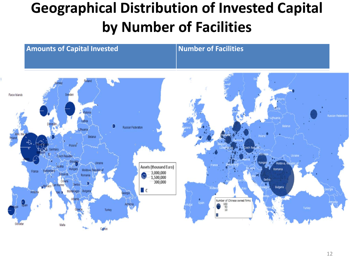### **Geographical Distribution of Invested Capital by Number of Facilities**

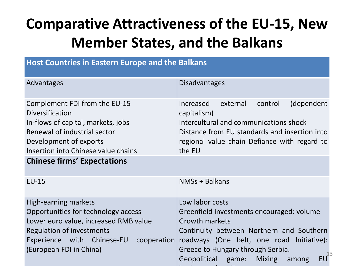### **Comparative Attractiveness of the EU-15, New Member States, and the Balkans**

| <b>Host Countries in Eastern Europe and the Balkans</b>                                                                                                                                                                              |                                                                                                                                                                                                                                                                                       |  |  |  |  |  |  |  |
|--------------------------------------------------------------------------------------------------------------------------------------------------------------------------------------------------------------------------------------|---------------------------------------------------------------------------------------------------------------------------------------------------------------------------------------------------------------------------------------------------------------------------------------|--|--|--|--|--|--|--|
| Advantages                                                                                                                                                                                                                           | <b>Disadvantages</b>                                                                                                                                                                                                                                                                  |  |  |  |  |  |  |  |
| Complement FDI from the EU-15<br><b>Diversification</b><br>In-flows of capital, markets, jobs<br>Renewal of industrial sector<br>Development of exports<br>Insertion into Chinese value chains<br><b>Chinese firms' Expectations</b> | (dependent<br>Increased<br>external<br>control<br>capitalism)<br>Intercultural and communications shock<br>Distance from EU standards and insertion into<br>regional value chain Defiance with regard to<br>the EU                                                                    |  |  |  |  |  |  |  |
| <b>EU-15</b>                                                                                                                                                                                                                         | NMSs + Balkans                                                                                                                                                                                                                                                                        |  |  |  |  |  |  |  |
| High-earning markets<br>Opportunities for technology access<br>Lower euro value, increased RMB value<br>Regulation of investments<br>Experience with Chinese-EU<br>(European FDI in China)                                           | Low labor costs<br>Greenfield investments encouraged: volume<br>Growth markets<br>Continuity between Northern and Southern<br>cooperation roadways (One belt, one road Initiative):<br>Greece to Hungary through Serbia.<br><b>EU</b><br>Geopolitical game:<br><b>Mixing</b><br>among |  |  |  |  |  |  |  |

businesses (1+16)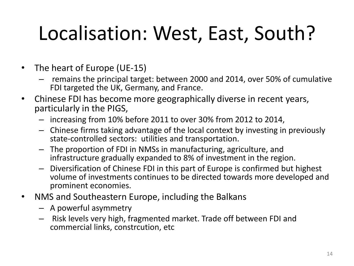# Localisation: West, East, South?

- The heart of Europe (UE-15)
	- remains the principal target: between 2000 and 2014, over 50% of cumulative FDI targeted the UK, Germany, and France.
- Chinese FDI has become more geographically diverse in recent years, particularly in the PIGS,
	- increasing from 10% before 2011 to over 30% from 2012 to 2014,
	- Chinese firms taking advantage of the local context by investing in previously state-controlled sectors: utilities and transportation.
	- The proportion of FDI in NMSs in manufacturing, agriculture, and infrastructure gradually expanded to 8% of investment in the region.
	- Diversification of Chinese FDI in this part of Europe is confirmed but highest volume of investments continues to be directed towards more developed and prominent economies.
- NMS and Southeastern Europe, including the Balkans
	- A powerful asymmetry
	- Risk levels very high, fragmented market. Trade off between FDI and commercial links, constrcution, etc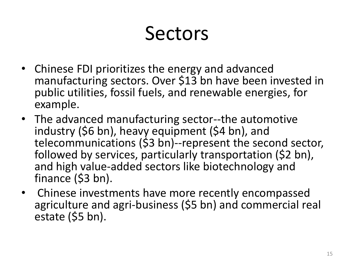# Sectors

- Chinese FDI prioritizes the energy and advanced manufacturing sectors. Over \$13 bn have been invested in public utilities, fossil fuels, and renewable energies, for example.
- The advanced manufacturing sector--the automotive industry (\$6 bn), heavy equipment (\$4 bn), and telecommunications (\$3 bn)--represent the second sector, followed by services, particularly transportation (\$2 bn), and high value-added sectors like biotechnology and finance (\$3 bn).
- Chinese investments have more recently encompassed agriculture and agri-business (\$5 bn) and commercial real estate (\$5 bn).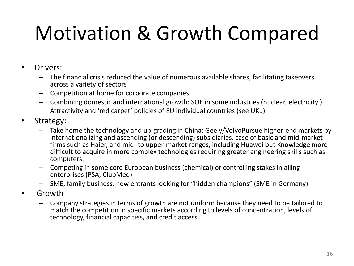# Motivation & Growth Compared

- Drivers:
	- The financial crisis reduced the value of numerous available shares, facilitating takeovers across a variety of sectors
	- Competition at home for corporate companies
	- Combining domestic and international growth: SOE in some industries (nuclear, electricity )
	- Attractivity and 'red carpet' policies of EU individual countries (see UK..)
- Strategy:
	- Take home the technology and up-grading in China: Geely/VolvoPursue higher-end markets by internationalizing and ascending (or descending) subsidiaries. case of basic and mid-market firms such as Haier, and mid- to upper-market ranges, including Huawei but Knowledge more difficult to acquire in more complex technologies requiring greater engineering skills such as computers.
	- Competing in some core European business (chemical) or controlling stakes in ailing enterprises (PSA, ClubMed)
	- SME, family business: new entrants looking for "hidden champions" (SME in Germany)
- Growth
	- Company strategies in terms of growth are not uniform because they need to be tailored to match the competition in specific markets according to levels of concentration, levels of technology, financial capacities, and credit access.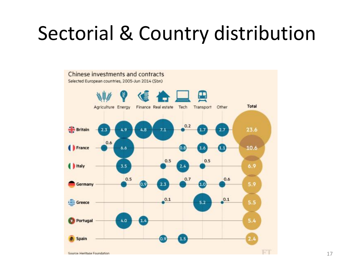## Sectorial & Country distribution

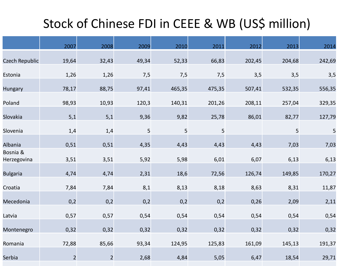### Stock of Chinese FDI in CEEE & WB (US\$ million)

|                         | 2007           | 2008           | 2009  | 2010   | 2011   | 2012   | 2013   | 2014   |
|-------------------------|----------------|----------------|-------|--------|--------|--------|--------|--------|
| Czech Republic          | 19,64          | 32,43          | 49,34 | 52,33  | 66,83  | 202,45 | 204,68 | 242,69 |
| Estonia                 | 1,26           | 1,26           | 7,5   | 7,5    | 7,5    | 3,5    | 3,5    | 3,5    |
| Hungary                 | 78,17          | 88,75          | 97,41 | 465,35 | 475,35 | 507,41 | 532,35 | 556,35 |
| Poland                  | 98,93          | 10,93          | 120,3 | 140,31 | 201,26 | 208,11 | 257,04 | 329,35 |
| Slovakia                | 5,1            | 5,1            | 9,36  | 9,82   | 25,78  | 86,01  | 82,77  | 127,79 |
| Slovenia                | 1,4            | 1,4            | 5     | 5      | 5      |        | 5      | 5      |
| Albania                 | 0,51           | 0,51           | 4,35  | 4,43   | 4,43   | 4,43   | 7,03   | 7,03   |
| Bosnia &<br>Herzegovina | 3,51           | 3,51           | 5,92  | 5,98   | 6,01   | 6,07   | 6,13   | 6,13   |
|                         |                |                |       |        |        |        |        |        |
| <b>Bulgaria</b>         | 4,74           | 4,74           | 2,31  | 18,6   | 72,56  | 126,74 | 149,85 | 170,27 |
| Croatia                 | 7,84           | 7,84           | 8,1   | 8,13   | 8,18   | 8,63   | 8,31   | 11,87  |
| Mecedonia               | 0,2            | 0,2            | 0,2   | 0,2    | 0,2    | 0,26   | 2,09   | 2,11   |
| Latvia                  | 0,57           | 0,57           | 0,54  | 0,54   | 0,54   | 0,54   | 0,54   | 0,54   |
| Montenegro              | 0,32           | 0,32           | 0,32  | 0,32   | 0,32   | 0,32   | 0,32   | 0,32   |
| Romania                 | 72,88          | 85,66          | 93,34 | 124,95 | 125,83 | 161,09 | 145,13 | 191,37 |
| Serbia                  | $\overline{2}$ | $\overline{2}$ | 2,68  | 4,84   | 5,05   | 6,47   | 18,54  | 29,71  |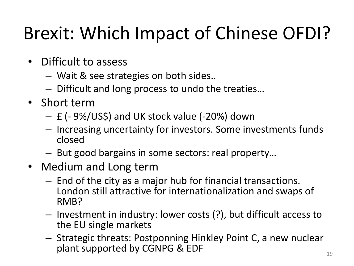## Brexit: Which Impact of Chinese OFDI?

- Difficult to assess
	- Wait & see strategies on both sides..
	- Difficult and long process to undo the treaties…
- Short term
	- £ (- 9%/US\$) and UK stock value (-20%) down
	- Increasing uncertainty for investors. Some investments funds closed
	- But good bargains in some sectors: real property…
- Medium and Long term
	- End of the city as a major hub for financial transactions. London still attractive for internationalization and swaps of RMB?
	- Investment in industry: lower costs (?), but difficult access to the EU single markets
	- Strategic threats: Postponning Hinkley Point C, a new nuclear plant supported by CGNPG & EDF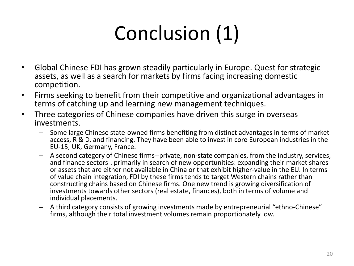# Conclusion (1)

- Global Chinese FDI has grown steadily particularly in Europe. Quest for strategic assets, as well as a search for markets by firms facing increasing domestic competition.
- Firms seeking to benefit from their competitive and organizational advantages in terms of catching up and learning new management techniques.
- Three categories of Chinese companies have driven this surge in overseas investments.
	- Some large Chinese state-owned firms benefiting from distinct advantages in terms of market access, R & D, and financing. They have been able to invest in core European industries in the EU-15, UK, Germany, France.
	- A second category of Chinese firms--private, non-state companies, from the industry, services, and finance sectors-. primarily in search of new opportunities: expanding their market shares or assets that are either not available in China or that exhibit higher-value in the EU. In terms of value chain integration, FDI by these firms tends to target Western chains rather than constructing chains based on Chinese firms. One new trend is growing diversification of investments towards other sectors (real estate, finances), both in terms of volume and individual placements.
	- A third category consists of growing investments made by entrepreneurial "ethno-Chinese" firms, although their total investment volumes remain proportionately low.